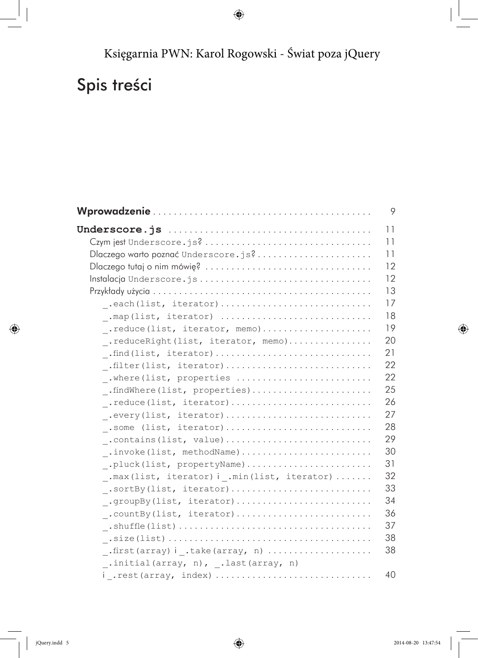## Księ[garnia PWN: Karol Rogowski -](http://ksiegarnia.pwn.pl/produkt/251475/swiat-poza-jquery.html) Świat poza jQuery

## Spis treści

|                                             | 9  |
|---------------------------------------------|----|
|                                             | 11 |
|                                             | 11 |
| Dlaczego warto poznać Underscore.js?        | 11 |
|                                             | 12 |
|                                             | 12 |
|                                             | 13 |
| .each(list, iterator)                       | 17 |
| .map(list, iterator)                        | 18 |
| _.reduce(list, iterator, memo)              | 19 |
| .reduceRight(list, iterator, memo)          | 20 |
| .find(list, iterator)                       | 21 |
| .filter(list, iterator)                     | 22 |
| _.where(list, properties                    | 22 |
| _.findWhere(list, properties)               | 25 |
| _.reduce(list, iterator)                    | 26 |
| _.every(list, iterator)                     | 27 |
| .some (list, iterator)                      | 28 |
|                                             | 29 |
| .invoke(list, methodName)                   | 30 |
| .pluck(list, propertyName)                  | 31 |
| .max(list, iterator) i .min(list, iterator) | 32 |
| .sortBy(list, iterator)                     | 33 |
| _.groupBy(list, iterator)                   | 34 |
| _.countBy(list, iterator)                   | 36 |
|                                             | 37 |
|                                             | 38 |
|                                             | 38 |
| _.initial(array, n), _.last(array, n)       |    |
| i .rest(array, index)                       | 40 |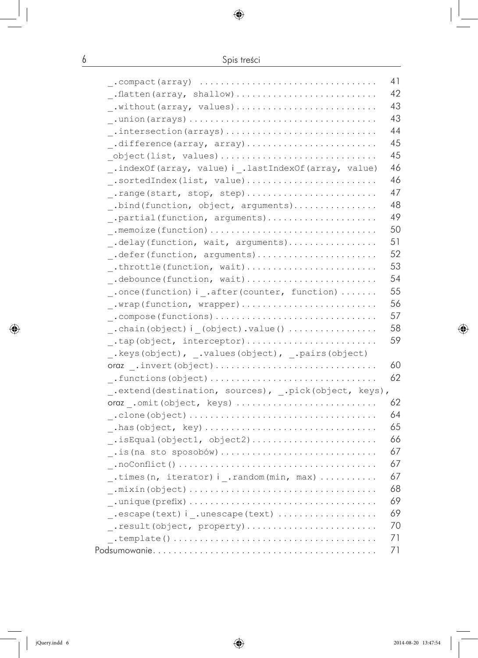|                                                                                              | 41 |
|----------------------------------------------------------------------------------------------|----|
| _.flatten(array, shallow)                                                                    | 42 |
| _.without(array, values)                                                                     | 43 |
|                                                                                              | 43 |
|                                                                                              | 44 |
|                                                                                              | 45 |
| object (list, values)                                                                        | 45 |
| _.indexOf(array, value)i_.lastIndexOf(array, value)                                          | 46 |
| _.sortedIndex(list, value)                                                                   | 46 |
| .range(start, stop, step)                                                                    | 47 |
| _.bind(function, object, arguments)                                                          | 48 |
| _.partial(function, arguments)                                                               | 49 |
| .memoize (function) $\dots\dots\dots\dots\dots\dots\dots\dots\dots\dots\dots\dots\dots\dots$ | 50 |
| _.delay(function, wait, arguments)                                                           | 51 |
| _.defer(function, arguments)                                                                 | 52 |
| _.throttle(function, wait)                                                                   | 53 |
| _.debounce(function, wait)                                                                   | 54 |
| _.once(function) i_.after(counter, function)                                                 | 55 |
| _.wrap(function, wrapper)                                                                    | 56 |
|                                                                                              | 57 |
| $\_\cdot$ .chain(object)i $\_\cdot$ (object).value()                                         | 58 |
|                                                                                              | 59 |
| _. keys(object), _. values(object), _. pairs(object)                                         |    |
| oraz .invert(object)                                                                         | 60 |
| .functions (object)                                                                          | 62 |
| _.extend(destination, sources), _.pick(object, keys),                                        |    |
| oraz .omit (object, keys)                                                                    | 62 |
|                                                                                              | 64 |
|                                                                                              | 65 |
|                                                                                              | 66 |
|                                                                                              | 67 |
|                                                                                              | 67 |
| .times (n, iterator) i .random (min, max)                                                    | 67 |
|                                                                                              | 68 |
|                                                                                              | 69 |
| _.escape(text)i_.unescape(text)                                                              | 69 |
| _.result(object, property)                                                                   | 70 |
|                                                                                              | 71 |
|                                                                                              | 71 |
|                                                                                              |    |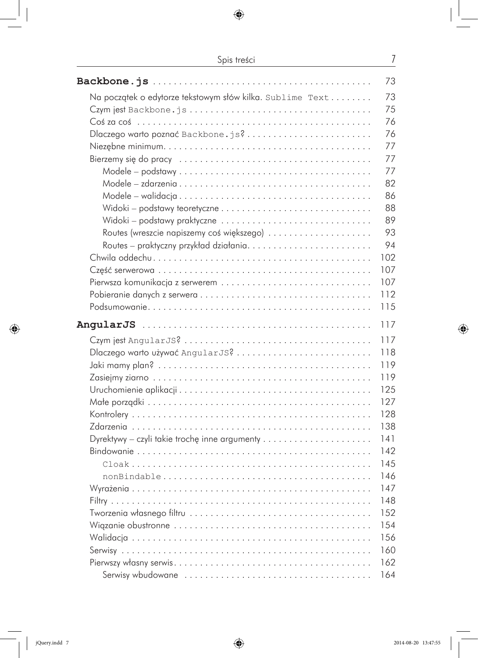|                                                           | 73  |
|-----------------------------------------------------------|-----|
| Na początek o edytorze tekstowym słów kilka. Sublime Text | 73  |
|                                                           | 75  |
|                                                           | 76  |
| Dlaczego warto poznać Backbone.js?                        | 76  |
|                                                           | 77  |
|                                                           | 77  |
|                                                           | 77  |
|                                                           | 82  |
|                                                           | 86  |
|                                                           | 88  |
| Widoki - podstawy praktyczne                              | 89  |
|                                                           | 93  |
| Routes - praktyczny przykład działania                    | 94  |
|                                                           | 102 |
|                                                           | 107 |
|                                                           | 107 |
|                                                           | 112 |
|                                                           | 115 |
|                                                           | 117 |
|                                                           | 117 |
| Dlaczego warło używać AngularJS?                          | 118 |
|                                                           | 119 |
|                                                           | 119 |
|                                                           | 125 |
|                                                           | 127 |
|                                                           | 128 |
|                                                           | 138 |
|                                                           | 141 |
|                                                           | 142 |
|                                                           | 145 |
|                                                           | 146 |
|                                                           | 147 |
|                                                           | 148 |
|                                                           | 152 |
|                                                           | 154 |
|                                                           | 156 |
|                                                           | 160 |
|                                                           | 162 |
|                                                           | 164 |
|                                                           |     |